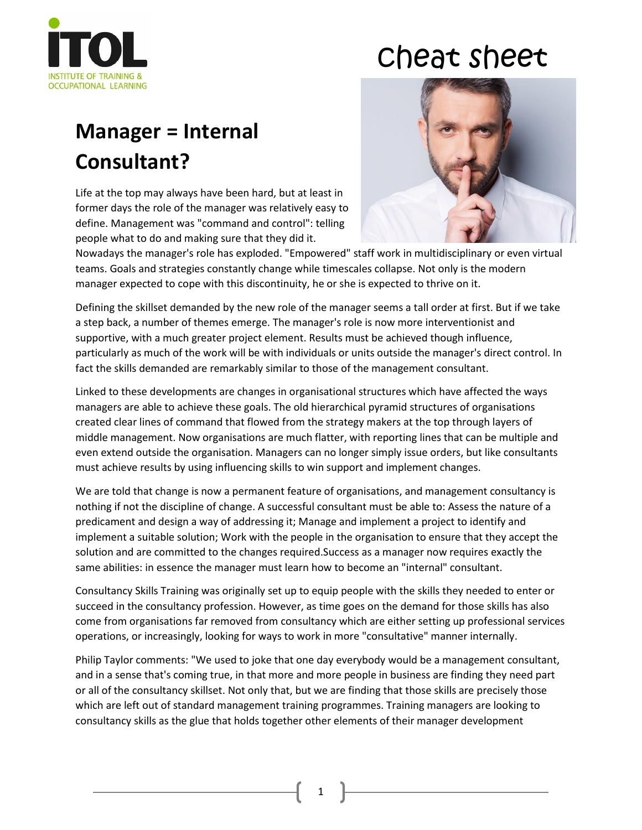

## cheat sheet

## **Manager = Internal Consultant?**

Life at the top may always have been hard, but at least in former days the role of the manager was relatively easy to define. Management was "command and control": telling people what to do and making sure that they did it.



Nowadays the manager's role has exploded. "Empowered" staff work in multidisciplinary or even virtual teams. Goals and strategies constantly change while timescales collapse. Not only is the modern manager expected to cope with this discontinuity, he or she is expected to thrive on it.

Defining the skillset demanded by the new role of the manager seems a tall order at first. But if we take a step back, a number of themes emerge. The manager's role is now more interventionist and supportive, with a much greater project element. Results must be achieved though influence, particularly as much of the work will be with individuals or units outside the manager's direct control. In fact the skills demanded are remarkably similar to those of the management consultant.

Linked to these developments are changes in organisational structures which have affected the ways managers are able to achieve these goals. The old hierarchical pyramid structures of organisations created clear lines of command that flowed from the strategy makers at the top through layers of middle management. Now organisations are much flatter, with reporting lines that can be multiple and even extend outside the organisation. Managers can no longer simply issue orders, but like consultants must achieve results by using influencing skills to win support and implement changes.

We are told that change is now a permanent feature of organisations, and management consultancy is nothing if not the discipline of change. A successful consultant must be able to: Assess the nature of a predicament and design a way of addressing it; Manage and implement a project to identify and implement a suitable solution; Work with the people in the organisation to ensure that they accept the solution and are committed to the changes required.Success as a manager now requires exactly the same abilities: in essence the manager must learn how to become an "internal" consultant.

Consultancy Skills Training was originally set up to equip people with the skills they needed to enter or succeed in the consultancy profession. However, as time goes on the demand for those skills has also come from organisations far removed from consultancy which are either setting up professional services operations, or increasingly, looking for ways to work in more "consultative" manner internally.

Philip Taylor comments: "We used to joke that one day everybody would be a management consultant, and in a sense that's coming true, in that more and more people in business are finding they need part or all of the consultancy skillset. Not only that, but we are finding that those skills are precisely those which are left out of standard management training programmes. Training managers are looking to consultancy skills as the glue that holds together other elements of their manager development

1